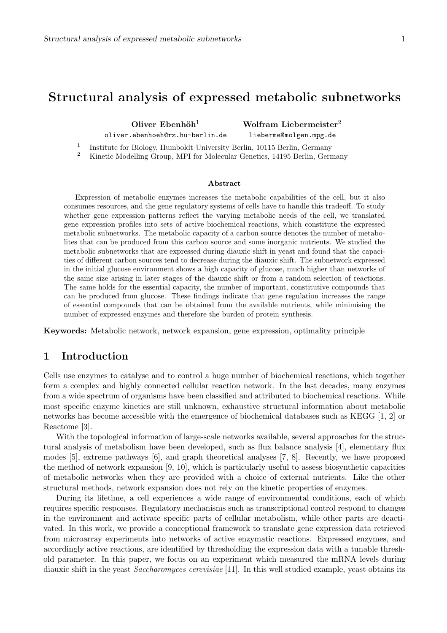# Structural analysis of expressed metabolic subnetworks

Oliver Ebenhöh<sup>1</sup> Wolfram Liebermeister<sup>2</sup> oliver.ebenhoeh@rz.hu-berlin.de lieberme@molgen.mpg.de

1 Institute for Biology, Humboldt University Berlin, 10115 Berlin, Germany

<sup>2</sup> Kinetic Modelling Group, MPI for Molecular Genetics, 14195 Berlin, Germany

#### Abstract

Expression of metabolic enzymes increases the metabolic capabilities of the cell, but it also consumes resources, and the gene regulatory systems of cells have to handle this tradeoff. To study whether gene expression patterns reflect the varying metabolic needs of the cell, we translated gene expression profiles into sets of active biochemical reactions, which constitute the expressed metabolic subnetworks. The metabolic capacity of a carbon source denotes the number of metabolites that can be produced from this carbon source and some inorganic nutrients. We studied the metabolic subnetworks that are expressed during diauxic shift in yeast and found that the capacities of different carbon sources tend to decrease during the diauxic shift. The subnetwork expressed in the initial glucose environment shows a high capacity of glucose, much higher than networks of the same size arising in later stages of the diauxic shift or from a random selection of reactions. The same holds for the essential capacity, the number of important, constitutive compounds that can be produced from glucose. These findings indicate that gene regulation increases the range of essential compounds that can be obtained from the available nutrients, while minimising the number of expressed enzymes and therefore the burden of protein synthesis.

Keywords: Metabolic network, network expansion, gene expression, optimality principle

## 1 Introduction

Cells use enzymes to catalyse and to control a huge number of biochemical reactions, which together form a complex and highly connected cellular reaction network. In the last decades, many enzymes from a wide spectrum of organisms have been classified and attributed to biochemical reactions. While most specific enzyme kinetics are still unknown, exhaustive structural information about metabolic networks has become accessible with the emergence of biochemical databases such as KEGG [1, 2] or Reactome [3].

With the topological information of large-scale networks available, several approaches for the structural analysis of metabolism have been developed, such as flux balance analysis [4], elementary flux modes [5], extreme pathways [6], and graph theoretical analyses [7, 8]. Recently, we have proposed the method of network expansion [9, 10], which is particularly useful to assess biosynthetic capacities of metabolic networks when they are provided with a choice of external nutrients. Like the other structural methods, network expansion does not rely on the kinetic properties of enzymes.

During its lifetime, a cell experiences a wide range of environmental conditions, each of which requires specific responses. Regulatory mechanisms such as transcriptional control respond to changes in the environment and activate specific parts of cellular metabolism, while other parts are deactivated. In this work, we provide a conceptional framework to translate gene expression data retrieved from microarray experiments into networks of active enzymatic reactions. Expressed enzymes, and accordingly active reactions, are identified by thresholding the expression data with a tunable threshold parameter. In this paper, we focus on an experiment which measured the mRNA levels during diauxic shift in the yeast Saccharomyces cerevisiae [11]. In this well studied example, yeast obtains its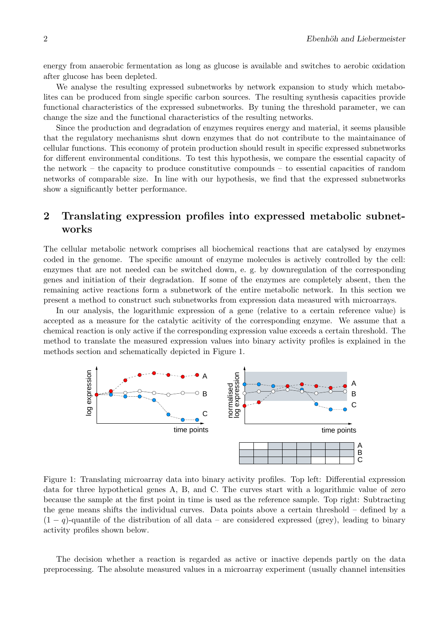energy from anaerobic fermentation as long as glucose is available and switches to aerobic oxidation after glucose has been depleted.

We analyse the resulting expressed subnetworks by network expansion to study which metabolites can be produced from single specific carbon sources. The resulting synthesis capacities provide functional characteristics of the expressed subnetworks. By tuning the threshold parameter, we can change the size and the functional characteristics of the resulting networks.

Since the production and degradation of enzymes requires energy and material, it seems plausible that the regulatory mechanisms shut down enzymes that do not contribute to the maintainance of cellular functions. This economy of protein production should result in specific expressed subnetworks for different environmental conditions. To test this hypothesis, we compare the essential capacity of the network – the capacity to produce constitutive compounds – to essential capacities of random networks of comparable size. In line with our hypothesis, we find that the expressed subnetworks show a significantly better performance.

# 2 Translating expression profiles into expressed metabolic subnetworks

The cellular metabolic network comprises all biochemical reactions that are catalysed by enzymes coded in the genome. The specific amount of enzyme molecules is actively controlled by the cell: enzymes that are not needed can be switched down, e. g. by downregulation of the corresponding genes and initiation of their degradation. If some of the enzymes are completely absent, then the remaining active reactions form a subnetwork of the entire metabolic network. In this section we present a method to construct such subnetworks from expression data measured with microarrays.

In our analysis, the logarithmic expression of a gene (relative to a certain reference value) is accepted as a measure for the catalytic acitivity of the corresponding enzyme. We assume that a chemical reaction is only active if the corresponding expression value exceeds a certain threshold. The method to translate the measured expression values into binary activity profiles is explained in the methods section and schematically depicted in Figure 1.



Figure 1: Translating microarray data into binary activity profiles. Top left: Differential expression data for three hypothetical genes A, B, and C. The curves start with a logarithmic value of zero because the sample at the first point in time is used as the reference sample. Top right: Subtracting the gene means shifts the individual curves. Data points above a certain threshold – defined by a  $(1 - q)$ -quantile of the distribution of all data – are considered expressed (grey), leading to binary activity profiles shown below.

The decision whether a reaction is regarded as active or inactive depends partly on the data preprocessing. The absolute measured values in a microarray experiment (usually channel intensities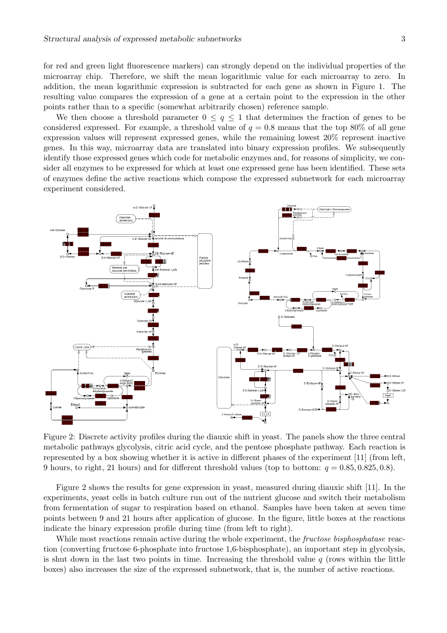for red and green light fluorescence markers) can strongly depend on the individual properties of the microarray chip. Therefore, we shift the mean logarithmic value for each microarray to zero. In addition, the mean logarithmic expression is subtracted for each gene as shown in Figure 1. The resulting value compares the expression of a gene at a certain point to the expression in the other points rather than to a specific (somewhat arbitrarily chosen) reference sample.

We then choose a threshold parameter  $0 \leq q \leq 1$  that determines the fraction of genes to be considered expressed. For example, a threshold value of  $q = 0.8$  means that the top 80% of all gene expression values will represent expressed genes, while the remaining lowest 20% represent inactive genes. In this way, microarray data are translated into binary expression profiles. We subsequently identify those expressed genes which code for metabolic enzymes and, for reasons of simplicity, we consider all enzymes to be expressed for which at least one expressed gene has been identified. These sets of enzymes define the active reactions which compose the expressed subnetwork for each microarray experiment considered.



Figure 2: Discrete activity profiles during the diauxic shift in yeast. The panels show the three central metabolic pathways glycolysis, citric acid cycle, and the pentose phosphate pathway. Each reaction is represented by a box showing whether it is active in different phases of the experiment [11] (from left, 9 hours, to right, 21 hours) and for different threshold values (top to bottom:  $q = 0.85, 0.825, 0.8$ ).

Figure 2 shows the results for gene expression in yeast, measured during diauxic shift [11]. In the experiments, yeast cells in batch culture run out of the nutrient glucose and switch their metabolism from fermentation of sugar to respiration based on ethanol. Samples have been taken at seven time points between 9 and 21 hours after application of glucose. In the figure, little boxes at the reactions indicate the binary expression profile during time (from left to right).

While most reactions remain active during the whole experiment, the *fructose bisphosphatase* reaction (converting fructose 6-phosphate into fructose 1,6-bisphosphate), an important step in glycolysis, is shut down in the last two points in time. Increasing the threshold value  $q$  (rows within the little boxes) also increases the size of the expressed subnetwork, that is, the number of active reactions.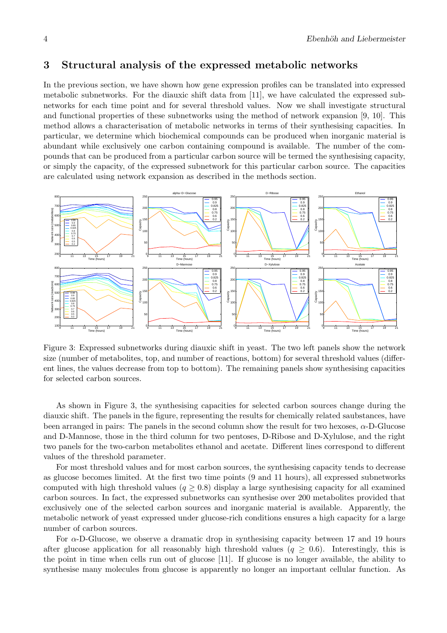## 3 Structural analysis of the expressed metabolic networks

In the previous section, we have shown how gene expression profiles can be translated into expressed metabolic subnetworks. For the diauxic shift data from [11], we have calculated the expressed subnetworks for each time point and for several threshold values. Now we shall investigate structural and functional properties of these subnetworks using the method of network expansion [9, 10]. This method allows a characterisation of metabolic networks in terms of their synthesising capacities. In particular, we determine which biochemical compounds can be produced when inorganic material is abundant while exclusively one carbon containing compound is available. The number of the compounds that can be produced from a particular carbon source will be termed the synthesising capacity, or simply the capacity, of the expressed subnetwork for this particular carbon source. The capacities are calculated using network expansion as described in the methods section.



Figure 3: Expressed subnetworks during diauxic shift in yeast. The two left panels show the network size (number of metabolites, top, and number of reactions, bottom) for several threshold values (different lines, the values decrease from top to bottom). The remaining panels show synthesising capacities for selected carbon sources.

As shown in Figure 3, the synthesising capacities for selected carbon sources change during the diauxic shift. The panels in the figure, representing the results for chemically related saubstances, have been arranged in pairs: The panels in the second column show the result for two hexoses,  $\alpha$ -D-Glucose and D-Mannose, those in the third column for two pentoses, D-Ribose and D-Xylulose, and the right two panels for the two-carbon metabolites ethanol and acetate. Different lines correspond to different values of the threshold parameter.

For most threshold values and for most carbon sources, the synthesising capacity tends to decrease as glucose becomes limited. At the first two time points (9 and 11 hours), all expressed subnetworks computed with high threshold values  $(q \geq 0.8)$  display a large synthesising capacity for all examined carbon sources. In fact, the expressed subnetworks can synthesise over 200 metabolites provided that exclusively one of the selected carbon sources and inorganic material is available. Apparently, the metabolic network of yeast expressed under glucose-rich conditions ensures a high capacity for a large number of carbon sources.

For  $\alpha$ -D-Glucose, we observe a dramatic drop in synthesising capacity between 17 and 19 hours after glucose application for all reasonably high threshold values ( $q \geq 0.6$ ). Interestingly, this is the point in time when cells run out of glucose [11]. If glucose is no longer available, the ability to synthesise many molecules from glucose is apparently no longer an important cellular function. As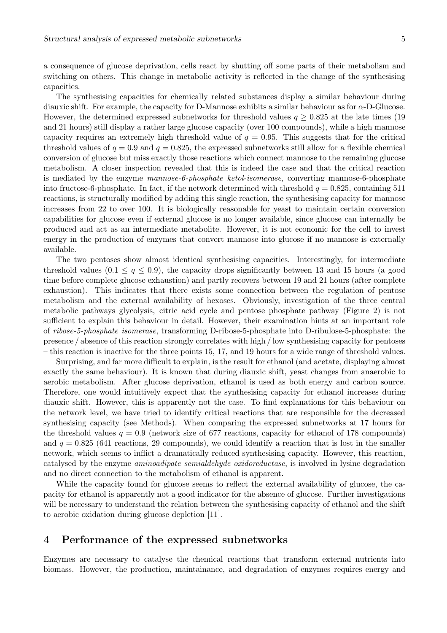a consequence of glucose deprivation, cells react by shutting off some parts of their metabolism and switching on others. This change in metabolic activity is reflected in the change of the synthesising capacities.

The synthesising capacities for chemically related substances display a similar behaviour during diauxic shift. For example, the capacity for D-Mannose exhibits a similar behaviour as for  $\alpha$ -D-Glucose. However, the determined expressed subnetworks for threshold values  $q \geq 0.825$  at the late times (19 and 21 hours) still display a rather large glucose capacity (over 100 compounds), while a high mannose capacity requires an extremely high threshold value of  $q = 0.95$ . This suggests that for the critical threshold values of  $q = 0.9$  and  $q = 0.825$ , the expressed subnetworks still allow for a flexible chemical conversion of glucose but miss exactly those reactions which connect mannose to the remaining glucose metabolism. A closer inspection revealed that this is indeed the case and that the critical reaction is mediated by the enzyme mannose-6-phosphate ketol-isomerase, converting mannose-6-phosphate into fructose-6-phosphate. In fact, if the network determined with threshold  $q = 0.825$ , containing 511 reactions, is structurally modified by adding this single reaction, the synthesising capacity for mannose increases from 22 to over 100. It is biologically reasonable for yeast to maintain certain conversion capabilities for glucose even if external glucose is no longer available, since glucose can internally be produced and act as an intermediate metabolite. However, it is not economic for the cell to invest energy in the production of enzymes that convert mannose into glucose if no mannose is externally available.

The two pentoses show almost identical synthesising capacities. Interestingly, for intermediate threshold values  $(0.1 \leq q \leq 0.9)$ , the capacity drops significantly between 13 and 15 hours (a good time before complete glucose exhaustion) and partly recovers between 19 and 21 hours (after complete exhaustion). This indicates that there exists some connection between the regulation of pentose metabolism and the external availability of hexoses. Obviously, investigation of the three central metabolic pathways glycolysis, citric acid cycle and pentose phosphate pathway (Figure 2) is not sufficient to explain this behaviour in detail. However, their examination hints at an important role of ribose-5-phosphate isomerase, transforming D-ribose-5-phosphate into D-ribulose-5-phosphate: the presence / absence of this reaction strongly correlates with high / low synthesising capacity for pentoses – this reaction is inactive for the three points 15, 17, and 19 hours for a wide range of threshold values.

Surprising, and far more difficult to explain, is the result for ethanol (and acetate, displaying almost exactly the same behaviour). It is known that during diauxic shift, yeast changes from anaerobic to aerobic metabolism. After glucose deprivation, ethanol is used as both energy and carbon source. Therefore, one would intuitively expect that the synthesising capacity for ethanol increases during diauxic shift. However, this is apparently not the case. To find explanations for this behaviour on the network level, we have tried to identify critical reactions that are responsible for the decreased synthesising capacity (see Methods). When comparing the expressed subnetworks at 17 hours for the threshold values  $q = 0.9$  (network size of 677 reactions, capacity for ethanol of 178 compounds) and  $q = 0.825$  (641 reactions, 29 compounds), we could identify a reaction that is lost in the smaller network, which seems to inflict a dramatically reduced synthesising capacity. However, this reaction, catalysed by the enzyme aminoadipate semialdehyde oxidoreductase, is involved in lysine degradation and no direct connection to the metabolism of ethanol is apparent.

While the capacity found for glucose seems to reflect the external availability of glucose, the capacity for ethanol is apparently not a good indicator for the absence of glucose. Further investigations will be necessary to understand the relation between the synthesising capacity of ethanol and the shift to aerobic oxidation during glucose depletion [11].

## 4 Performance of the expressed subnetworks

Enzymes are necessary to catalyse the chemical reactions that transform external nutrients into biomass. However, the production, maintainance, and degradation of enzymes requires energy and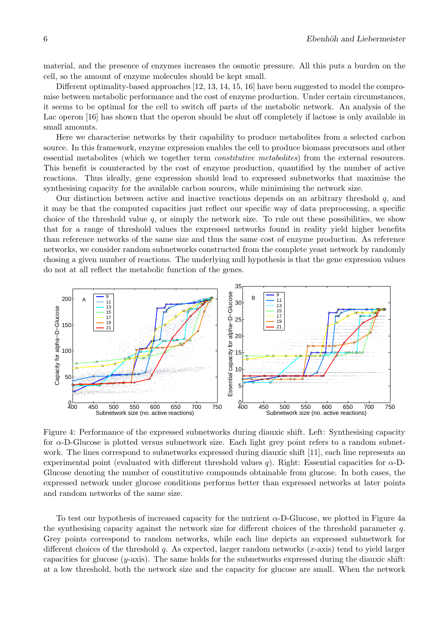material, and the presence of enzymes increases the osmotic pressure. All this puts a burden on the cell, so the amount of enzyme molecules should be kept small.

Different optimality-based approaches [12, 13, 14, 15, 16] have been suggested to model the compromise between metabolic performance and the cost of enzyme production. Under certain circumstances, it seems to be optimal for the cell to switch off parts of the metabolic network. An analysis of the Lac operon [16] has shown that the operon should be shut off completely if lactose is only available in small amounts.

Here we characterise networks by their capability to produce metabolites from a selected carbon source. In this framework, enzyme expression enables the cell to produce biomass precursors and other essential metabolites (which we together term *constitutive metabolites*) from the external resources. This benefit is counteracted by the cost of enzyme production, quantified by the number of active reactions. Thus ideally, gene expression should lead to expressed subnetworks that maximise the synthesising capacity for the available carbon sources, while minimising the network size.

Our distinction between active and inactive reactions depends on an arbitrary threshold  $q$ , and it may be that the computed capacities just reflect our specific way of data preprocessing, a specific choice of the threshold value  $q$ , or simply the network size. To rule out these possibilities, we show that for a range of threshold values the expressed networks found in reality yield higher benefits than reference networks of the same size and thus the same cost of enzyme production. As reference networks, we consider random subnetworks constructed from the complete yeast network by randomly chosing a given number of reactions. The underlying null hypothesis is that the gene expression values do not at all reflect the metabolic function of the genes.



Figure 4: Performance of the expressed subnetworks during diauxic shift. Left: Synthesising capacity for  $\alpha$ -D-Glucose is plotted versus subnetwork size. Each light grey point refers to a random subnetwork. The lines correspond to subnetworks expressed during diauxic shift [11], each line represents an experimental point (evaluated with different threshold values q). Right: Essential capacities for  $\alpha$ -D-Glucose denoting the number of constitutive compounds obtainable from glucose. In both cases, the expressed network under glucose conditions performs better than expressed networks at later points and random networks of the same size.

To test our hypothesis of increased capacity for the nutrient  $\alpha$ -D-Glucose, we plotted in Figure 4a the synthesising capacity against the network size for different choices of the threshold parameter q. Grey points correspond to random networks, while each line depicts an expressed subnetwork for different choices of the threshold q. As expected, larger random networks  $(x\text{-axis})$  tend to yield larger capacities for glucose  $(y\text{-axis})$ . The same holds for the subnetworks expressed during the diauxic shift: at a low threshold, both the network size and the capacity for glucose are small. When the network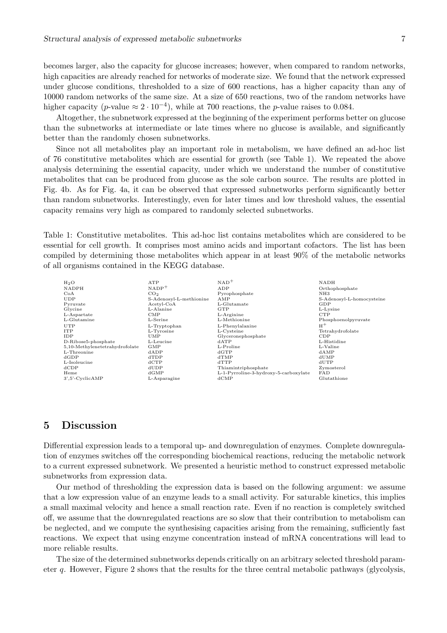becomes larger, also the capacity for glucose increases; however, when compared to random networks, high capacities are already reached for networks of moderate size. We found that the network expressed under glucose conditions, thresholded to a size of 600 reactions, has a higher capacity than any of 10000 random networks of the same size. At a size of 650 reactions, two of the random networks have higher capacity (p-value  $\approx 2 \cdot 10^{-4}$ ), while at 700 reactions, the p-value raises to 0.084.

Altogether, the subnetwork expressed at the beginning of the experiment performs better on glucose than the subnetworks at intermediate or late times where no glucose is available, and significantly better than the randomly chosen subnetworks.

Since not all metabolites play an important role in metabolism, we have defined an ad-hoc list of 76 constitutive metabolites which are essential for growth (see Table 1). We repeated the above analysis determining the essential capacity, under which we understand the number of constitutive metabolites that can be produced from glucose as the sole carbon source. The results are plotted in Fig. 4b. As for Fig. 4a, it can be observed that expressed subnetworks perform significantly better than random subnetworks. Interestingly, even for later times and low threshold values, the essential capacity remains very high as compared to randomly selected subnetworks.

Table 1: Constitutive metabolites. This ad-hoc list contains metabolites which are considered to be essential for cell growth. It comprises most amino acids and important cofactors. The list has been compiled by determining those metabolites which appear in at least 90% of the metabolic networks of all organisms contained in the KEGG database.

| $H_2O$                         | ATP                     | $NAD$ <sup>+</sup>                    | <b>NADH</b>               |
|--------------------------------|-------------------------|---------------------------------------|---------------------------|
| <b>NADPH</b>                   | $NADP+$                 | ADP                                   | Orthophosphate            |
| CoA                            | CO <sub>2</sub>         | Pyrophosphate                         | NH3                       |
| <b>UDP</b>                     | S-Adenosyl-L-methionine | AMP                                   | S-Adenosyl-L-homocysteine |
| Pyruvate                       | $Acetyl-coA$            | L-Glutamate                           | GDP                       |
| Glycine                        | L-Alanine               | GTP                                   | L-Lysine                  |
| L-Aspartate                    | $_{\rm CMP}$            | L-Arginine                            | <b>CTP</b>                |
| L-Glutamine                    | L-Serine                | L-Methionine                          | Phosphoenolpyruvate       |
| UTP                            | L-Tryptophan            | L-Phenylalanine                       | $H^+$                     |
| <b>ITP</b>                     | L-Tyrosine              | L-Cysteine                            | Tetrahydrofolate          |
| IDP                            | UMP                     | Glyceronephosphate                    | CDP                       |
| D-Ribose5-phosphate            | L-Leucine               | dATP                                  | L-Histidine               |
| 5,10-Methylenetetrahydrofolate | <b>GMP</b>              | L-Proline                             | L-Valine                  |
| L-Threonine                    | dADP                    | dGTP                                  | dAMP                      |
| dGDP                           | dTDP                    | dTMP                                  | $d$ UMP                   |
| L-Isoleucine                   | dCTP                    | dTTP                                  | $d$ UTP                   |
| dCDP                           | dUDP                    | Thiamintriphosphate                   | Zymosterol                |
| Heme                           | dGMP                    | L-1-Pyrroline-3-hydroxy-5-carboxylate | FAD                       |
| $3', 5'$ -Cyclic $AMP$         | L-Asparagine            | $d$ CMP                               | Glutathione               |
|                                |                         |                                       |                           |

## 5 Discussion

Differential expression leads to a temporal up- and downregulation of enzymes. Complete downregulation of enzymes switches off the corresponding biochemical reactions, reducing the metabolic network to a current expressed subnetwork. We presented a heuristic method to construct expressed metabolic subnetworks from expression data.

Our method of thresholding the expression data is based on the following argument: we assume that a low expression value of an enzyme leads to a small activity. For saturable kinetics, this implies a small maximal velocity and hence a small reaction rate. Even if no reaction is completely switched off, we assume that the downregulated reactions are so slow that their contribution to metabolism can be neglected, and we compute the synthesising capacities arising from the remaining, sufficiently fast reactions. We expect that using enzyme concentration instead of mRNA concentrations will lead to more reliable results.

The size of the determined subnetworks depends critically on an arbitrary selected threshold parameter q. However, Figure 2 shows that the results for the three central metabolic pathways (glycolysis,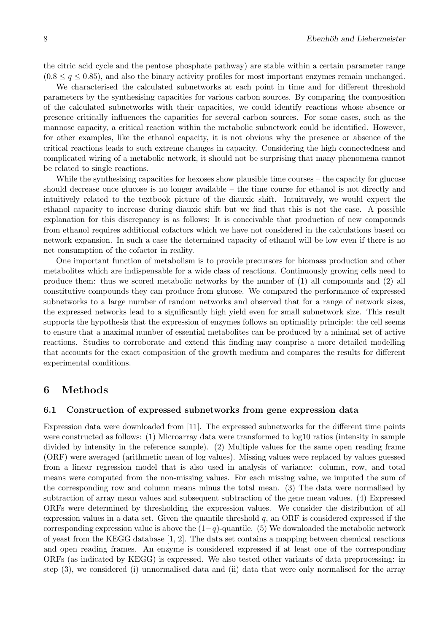the citric acid cycle and the pentose phosphate pathway) are stable within a certain parameter range  $(0.8 \le q \le 0.85)$ , and also the binary activity profiles for most important enzymes remain unchanged.

We characterised the calculated subnetworks at each point in time and for different threshold parameters by the synthesising capacities for various carbon sources. By comparing the composition of the calculated subnetworks with their capacities, we could identify reactions whose absence or presence critically influences the capacities for several carbon sources. For some cases, such as the mannose capacity, a critical reaction within the metabolic subnetwork could be identified. However, for other examples, like the ethanol capacity, it is not obvious why the presence or absence of the critical reactions leads to such extreme changes in capacity. Considering the high connectedness and complicated wiring of a metabolic network, it should not be surprising that many phenomena cannot be related to single reactions.

While the synthesising capacities for hexoses show plausible time courses – the capacity for glucose should decrease once glucose is no longer available – the time course for ethanol is not directly and intuitively related to the textbook picture of the diauxic shift. Intuituvely, we would expect the ethanol capacity to increase during diauxic shift but we find that this is not the case. A possible explanation for this discrepancy is as follows: It is conceivable that production of new compounds from ethanol requires additional cofactors which we have not considered in the calculations based on network expansion. In such a case the determined capacity of ethanol will be low even if there is no net consumption of the cofactor in reality.

One important function of metabolism is to provide precursors for biomass production and other metabolites which are indispensable for a wide class of reactions. Continuously growing cells need to produce them: thus we scored metabolic networks by the number of (1) all compounds and (2) all constitutive compounds they can produce from glucose. We compared the performance of expressed subnetworks to a large number of random networks and observed that for a range of network sizes, the expressed networks lead to a significantly high yield even for small subnetwork size. This result supports the hypothesis that the expression of enzymes follows an optimality principle: the cell seems to ensure that a maximal number of essential metabolites can be produced by a minimal set of active reactions. Studies to corroborate and extend this finding may comprise a more detailed modelling that accounts for the exact composition of the growth medium and compares the results for different experimental conditions.

## 6 Methods

### 6.1 Construction of expressed subnetworks from gene expression data

Expression data were downloaded from [11]. The expressed subnetworks for the different time points were constructed as follows: (1) Microarray data were transformed to log10 ratios (intensity in sample divided by intensity in the reference sample). (2) Multiple values for the same open reading frame (ORF) were averaged (arithmetic mean of log values). Missing values were replaced by values guessed from a linear regression model that is also used in analysis of variance: column, row, and total means were computed from the non-missing values. For each missing value, we imputed the sum of the corresponding row and column means minus the total mean. (3) The data were normalised by subtraction of array mean values and subsequent subtraction of the gene mean values. (4) Expressed ORFs were determined by thresholding the expression values. We consider the distribution of all expression values in a data set. Given the quantile threshold  $q$ , an ORF is considered expressed if the corresponding expression value is above the  $(1-q)$ -quantile. (5) We downloaded the metabolic network of yeast from the KEGG database [1, 2]. The data set contains a mapping between chemical reactions and open reading frames. An enzyme is considered expressed if at least one of the corresponding ORFs (as indicated by KEGG) is expressed. We also tested other variants of data preprocessing: in step (3), we considered (i) unnormalised data and (ii) data that were only normalised for the array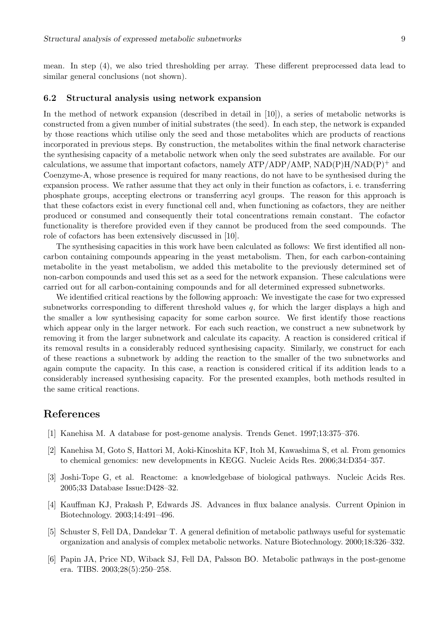mean. In step (4), we also tried thresholding per array. These different preprocessed data lead to similar general conclusions (not shown).

### 6.2 Structural analysis using network expansion

In the method of network expansion (described in detail in [10]), a series of metabolic networks is constructed from a given number of initial substrates (the seed). In each step, the network is expanded by those reactions which utilise only the seed and those metabolites which are products of reactions incorporated in previous steps. By construction, the metabolites within the final network characterise the synthesising capacity of a metabolic network when only the seed substrates are available. For our calculations, we assume that important cofactors, namely  $ATP/ADP/AMP$ ,  $NAD(P)H/NAD(P)^+$  and Coenzyme-A, whose presence is required for many reactions, do not have to be synthesised during the expansion process. We rather assume that they act only in their function as cofactors, i. e. transferring phosphate groups, accepting electrons or transferring acyl groups. The reason for this approach is that these cofactors exist in every functional cell and, when functioning as cofactors, they are neither produced or consumed and consequently their total concentrations remain constant. The cofactor functionality is therefore provided even if they cannot be produced from the seed compounds. The role of cofactors has been extensively discussed in [10].

The synthesising capacities in this work have been calculated as follows: We first identified all noncarbon containing compounds appearing in the yeast metabolism. Then, for each carbon-containing metabolite in the yeast metabolism, we added this metabolite to the previously determined set of non-carbon compounds and used this set as a seed for the network expansion. These calculations were carried out for all carbon-containing compounds and for all determined expressed subnetworks.

We identified critical reactions by the following approach: We investigate the case for two expressed subnetworks corresponding to different threshold values  $q$ , for which the larger displays a high and the smaller a low synthesising capacity for some carbon source. We first identify those reactions which appear only in the larger network. For each such reaction, we construct a new subnetwork by removing it from the larger subnetwork and calculate its capacity. A reaction is considered critical if its removal results in a considerably reduced synthesising capacity. Similarly, we construct for each of these reactions a subnetwork by adding the reaction to the smaller of the two subnetworks and again compute the capacity. In this case, a reaction is considered critical if its addition leads to a considerably increased synthesising capacity. For the presented examples, both methods resulted in the same critical reactions.

## References

- [1] Kanehisa M. A database for post-genome analysis. Trends Genet. 1997;13:375–376.
- [2] Kanehisa M, Goto S, Hattori M, Aoki-Kinoshita KF, Itoh M, Kawashima S, et al. From genomics to chemical genomics: new developments in KEGG. Nucleic Acids Res. 2006;34:D354–357.
- [3] Joshi-Tope G, et al. Reactome: a knowledgebase of biological pathways. Nucleic Acids Res. 2005;33 Database Issue:D428–32.
- [4] Kauffman KJ, Prakash P, Edwards JS. Advances in flux balance analysis. Current Opinion in Biotechnology. 2003;14:491–496.
- [5] Schuster S, Fell DA, Dandekar T. A general definition of metabolic pathways useful for systematic organization and analysis of complex metabolic networks. Nature Biotechnology. 2000;18:326–332.
- [6] Papin JA, Price ND, Wiback SJ, Fell DA, Palsson BO. Metabolic pathways in the post-genome era. TIBS. 2003;28(5):250–258.